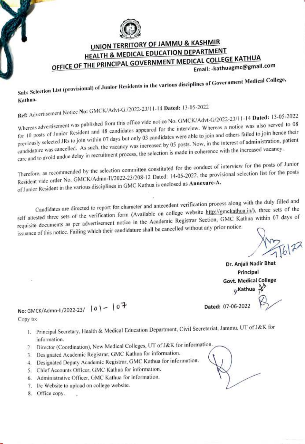

## UNION TERRITORY OF JAMMU & KASHMIR HEALTH & MEDICAL EDUCATION DEPARTMENT OFFICE OF THE PRINCIPAL GOVERNMENT MEDICAL COLLEGE KATHUA Email:-kathuagmc@gmail.comn

Sub: Selection List (provisional) of Junior Residents in the various disciplines of Government Medical College, Kathua.

Ref: Advertisement Notice No: GMCK/Advt-G./2022-23/11-14 Dated: 13-05-2022

Whereas advertisement was published from this office vide notice No. GMCK/Advt-G/2022-23/11-14 Dated: 13-05-2022 for 10 posts of Junior Resident and 48 candidates appeared for the interview. Whereas a notice was also served to <sup>08</sup> previously selected JRs to join within 07 days but only 03 candidates were able to join and others failed to join hence their candidature was cancelled. As such, the vacancy was increased by 05 posts. Now, in the interest of administration, patient care and to avoid undue delay in recruitment process, the selection is made in coherence with the increased vacancy.

Therefore. as recommended by the selection committee constituted for the conduct of interview for the posts of Junior Resident vide order No. GMCK/Admn-11/2022-23/208-12 Dated: 14-05-2022, the provisional selection list for the posts of Junior Resident in the various disciplines in GMC Kathua is enclosed as Annexure-A.

Candidates are directed to report for character and antecedent verification process along with the duly filled and self attested three sets of the verification form (Available on college website http://gmckathua.in/), three sets of the self attested three sets of the verification form (Avanable on concege website  $\frac{1}{2}$ ). GMC Kathua within 07 days of requisite documents as per advertisement notice in the Academic Registrar Section, GMC Kathua within 0 issuance of this notice. Failing which their candidature shall be cancelled without any prior notice.

Dr. Anjali Nadir Bhat Principal Govt. Medical College Kathua Dated: 07-06-2022

No: GMCK/Admn-II/2022-23/  $|0 - 07$ Copy to:

- 1. Principal Secretary, Health & Medical Education Department, Civil Secretariat, Jammu, UT of J&K for information.
- 2. Director (Coordination), New Medical Colleges, UT of J&K for information.
- 3. Designated Academic Registrar, GMC Kathua for information.
- 4. Designated Deputy Academic Registrar, GMC Kathua for information.
- 5. Chief Accounts Officer, GMC Kathua for information.
- 6. Administrative Officer, GMC Kathua for information.
- 7. I/c Website to upload on college website.
- 8. Office copy.